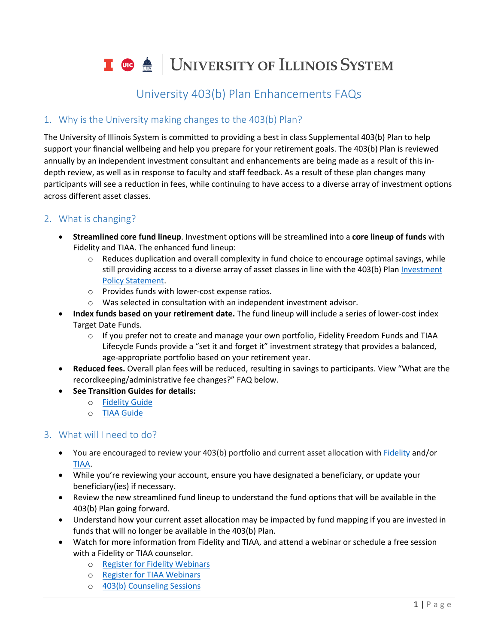I **C**  $\triangleq$  UNIVERSITY OF ILLINOIS SYSTEM

# University 403(b) Plan Enhancements FAQs

# 1. Why is the University making changes to the 403(b) Plan?

The University of Illinois System is committed to providing a best in class Supplemental 403(b) Plan to help support your financial wellbeing and help you prepare for your retirement goals. The 403(b) Plan is reviewed annually by an independent investment consultant and enhancements are being made as a result of this indepth review, as well as in response to faculty and staff feedback. As a result of these plan changes many participants will see a reduction in fees, while continuing to have access to a diverse array of investment options across different asset classes.

# 2. What is changing?

- **Streamlined core fund lineup**. Investment options will be streamlined into a **core lineup of funds** with Fidelity and TIAA. The enhanced fund lineup:
	- $\circ$  Reduces duplication and overall complexity in fund choice to encourage optimal savings, while still providing access to a diverse array of asset classes in line with the 403(b) Plan [Investment](https://www.hr.uillinois.edu/userfiles/Servers/Server_4208/file/Benefits/Retirement/403b/UofI_InvestmentPolicyStatement.pdf)  [Policy Statement.](https://www.hr.uillinois.edu/userfiles/Servers/Server_4208/file/Benefits/Retirement/403b/UofI_InvestmentPolicyStatement.pdf)
	- o Provides funds with lower-cost expense ratios.
	- o Was selected in consultation with an independent investment advisor.
- **Index funds based on your retirement date.** The fund lineup will include a series of lower-cost index Target Date Funds.
	- o If you prefer not to create and manage your own portfolio, Fidelity Freedom Funds and TIAA Lifecycle Funds provide a "set it and forget it" investment strategy that provides a balanced, age-appropriate portfolio based on your retirement year.
- **Reduced fees.** Overall plan fees will be reduced, resulting in savings to participants. View "What are the recordkeeping/administrative fee changes?" FAQ below.
- **See Transition Guides for details:**
	- o [Fidelity Guide](https://www.hr.uillinois.edu/userfiles/Servers/Server_4208/file/Benefits/Retirement/403b/FidelityGuide.pdf)
	- o [TIAA Guide](https://www.hr.uillinois.edu/userfiles/Servers/Server_4208/file/Benefits/Retirement/403b/TIAAguide.pdf)

### 3. What will I need to do?

- You are encouraged to review your 403(b) portfolio and current asset allocation wit[h Fidelity](https://nb.fidelity.com/public/nb/uofi403b/home) and/or [TIAA.](https://www.tiaa.org/public/tcm/uofi403b/home)
- While you're reviewing your account, ensure you have designated a beneficiary, or update your beneficiary(ies) if necessary.
- Review the new streamlined fund lineup to understand the fund options that will be available in the 403(b) Plan going forward.
- Understand how your current asset allocation may be impacted by fund mapping if you are invested in funds that will no longer be available in the 403(b) Plan.
- Watch for more information from Fidelity and TIAA, and attend a webinar or schedule a free session with a Fidelity or TIAA counselor.
	- o [Register for Fidelity Webinars](https://digital.fidelity.com/prgw/digital/wos/Events)
	- o [Register for TIAA Webinars](https://urldefense.com/v3/__https:/www.cvent.com/c/calendar/0086f7d1-7a35-4bdd-ace7-4950065ffd15__;!!DZ3fjg!uawLht-E_mqhZzcS-xUBFdRvD62uQ5FUBZpeGKHIhHEwj_8AILeC8XTJ5tYzXemHiw4$)
	- o [403\(b\) Counseling Sessions](https://www.hr.uillinois.edu/benefits/retirement/help)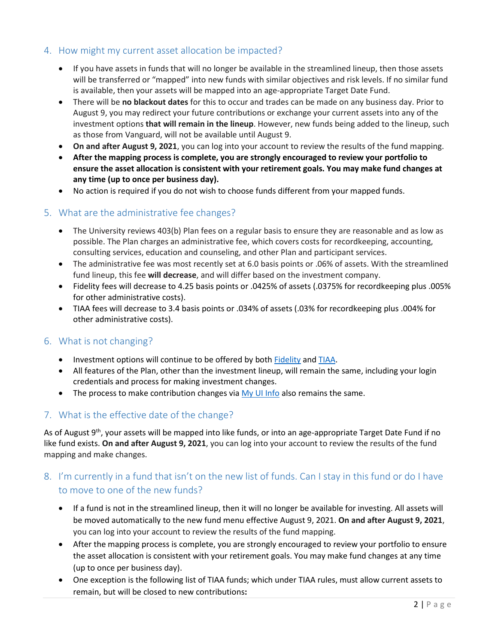# 4. How might my current asset allocation be impacted?

- If you have assets in funds that will no longer be available in the streamlined lineup, then those assets will be transferred or "mapped" into new funds with similar objectives and risk levels. If no similar fund is available, then your assets will be mapped into an age-appropriate Target Date Fund.
- There will be **no blackout dates** for this to occur and trades can be made on any business day. Prior to August 9, you may redirect your future contributions or exchange your current assets into any of the investment options **that will remain in the lineup**. However, new funds being added to the lineup, such as those from Vanguard, will not be available until August 9.
- **On and after August 9, 2021**, you can log into your account to review the results of the fund mapping.
- **After the mapping process is complete, you are strongly encouraged to review your portfolio to ensure the asset allocation is consistent with your retirement goals. You may make fund changes at any time (up to once per business day).**
- No action is required if you do not wish to choose funds different from your mapped funds.

#### 5. What are the administrative fee changes?

- The University reviews 403(b) Plan fees on a regular basis to ensure they are reasonable and as low as possible. The Plan charges an administrative fee, which covers costs for recordkeeping, accounting, consulting services, education and counseling, and other Plan and participant services.
- The administrative fee was most recently set at 6.0 basis points or .06% of assets. With the streamlined fund lineup, this fee **will decrease**, and will differ based on the investment company.
- Fidelity fees will decrease to 4.25 basis points or .0425% of assets (.0375% for recordkeeping plus .005% for other administrative costs).
- TIAA fees will decrease to 3.4 basis points or .034% of assets (.03% for recordkeeping plus .004% for other administrative costs).

#### 6. What is not changing?

- Investment options will continue to be offered by both [Fidelity](https://nb.fidelity.com/public/nb/uofi403b/home) an[d TIAA.](https://www.tiaa.org/public/tcm/uofi403b/home)
- All features of the Plan, other than the investment lineup, will remain the same, including your login credentials and process for making investment changes.
- The process to make contribution changes via  $My$  UI Info also remains the same.

### 7. What is the effective date of the change?

As of August 9<sup>th</sup>, your assets will be mapped into like funds, or into an age-appropriate Target Date Fund if no like fund exists. **On and after August 9, 2021**, you can log into your account to review the results of the fund mapping and make changes.

# 8. I'm currently in a fund that isn't on the new list of funds. Can I stay in this fund or do I have to move to one of the new funds?

- If a fund is not in the streamlined lineup, then it will no longer be available for investing. All assets will be moved automatically to the new fund menu effective August 9, 2021. **On and after August 9, 2021**, you can log into your account to review the results of the fund mapping.
- After the mapping process is complete, you are strongly encouraged to review your portfolio to ensure the asset allocation is consistent with your retirement goals. You may make fund changes at any time (up to once per business day).
- One exception is the following list of TIAA funds; which under TIAA rules, must allow current assets to remain, but will be closed to new contributions**:**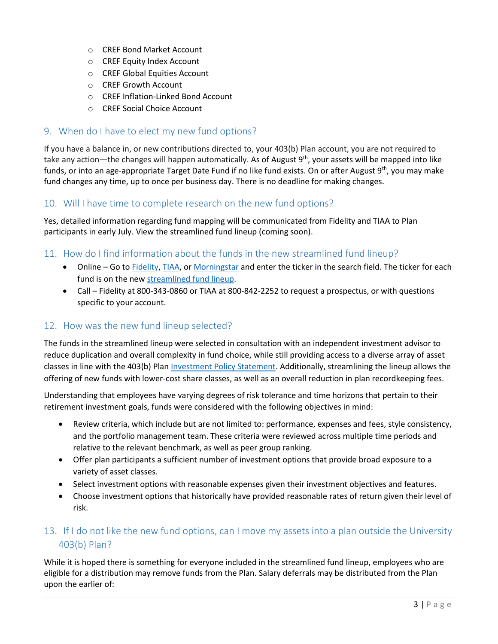- o CREF Bond Market Account
- o CREF Equity Index Account
- o CREF Global Equities Account
- o CREF Growth Account
- o CREF Inflation-Linked Bond Account
- o CREF Social Choice Account

#### 9. When do I have to elect my new fund options?

If you have a balance in, or new contributions directed to, your 403(b) Plan account, you are not required to take any action—the changes will happen automatically. As of August 9<sup>th</sup>, your assets will be mapped into like funds, or into an age-appropriate Target Date Fund if no like fund exists. On or after August 9<sup>th</sup>, you may make fund changes any time, up to once per business day. There is no deadline for making changes.

#### 10. Will I have time to complete research on the new fund options?

Yes, detailed information regarding fund mapping will be communicated from Fidelity and TIAA to Plan participants in early July. View the streamlined fund lineup (coming soon).

#### 11. How do I find information about the funds in the new streamlined fund lineup?

- Online Go to **Fidelity, TIAA**, or [Morningstar](https://www.morningstar.com/) and enter the ticker in the search field. The ticker for each fund is on the new [streamlined fund lineup.](https://www.hr.uillinois.edu/userfiles/Servers/Server_4208/file/Benefits/Retirement/403b/403bFundLineup.pdf)
- Call Fidelity at 800-343-0860 or TIAA at 800-842-2252 to request a prospectus, or with questions specific to your account.

#### 12. How was the new fund lineup selected?

The funds in the streamlined lineup were selected in consultation with an independent investment advisor to reduce duplication and overall complexity in fund choice, while still providing access to a diverse array of asset classes in line with the 403(b) Plan [Investment Policy Statement.](https://www.hr.uillinois.edu/userfiles/Servers/Server_4208/file/Benefits/Retirement/403b/UofI_InvestmentPolicyStatement.pdf) Additionally, streamlining the lineup allows the offering of new funds with lower-cost share classes, as well as an overall reduction in plan recordkeeping fees.

Understanding that employees have varying degrees of risk tolerance and time horizons that pertain to their retirement investment goals, funds were considered with the following objectives in mind:

- Review criteria, which include but are not limited to: performance, expenses and fees, style consistency, and the portfolio management team. These criteria were reviewed across multiple time periods and relative to the relevant benchmark, as well as peer group ranking.
- Offer plan participants a sufficient number of investment options that provide broad exposure to a variety of asset classes.
- Select investment options with reasonable expenses given their investment objectives and features.
- Choose investment options that historically have provided reasonable rates of return given their level of risk.

# 13. If I do not like the new fund options, can I move my assets into a plan outside the University 403(b) Plan?

While it is hoped there is something for everyone included in the streamlined fund lineup, employees who are eligible for a distribution may remove funds from the Plan. Salary deferrals may be distributed from the Plan upon the earlier of: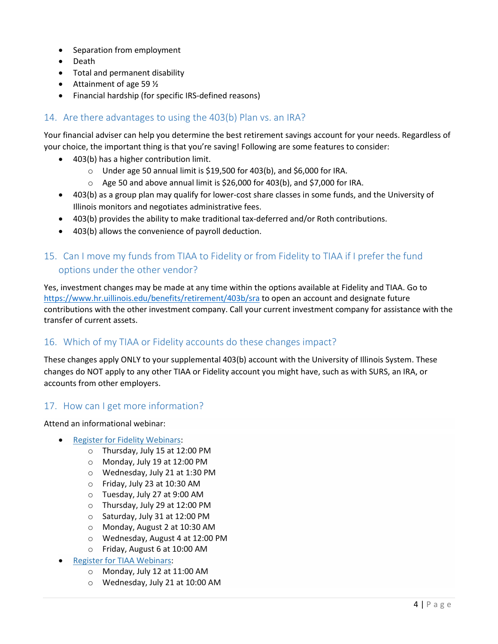- Separation from employment
- Death
- Total and permanent disability
- Attainment of age 59  $\frac{1}{2}$
- Financial hardship (for specific IRS-defined reasons)

# 14. Are there advantages to using the 403(b) Plan vs. an IRA?

Your financial adviser can help you determine the best retirement savings account for your needs. Regardless of your choice, the important thing is that you're saving! Following are some features to consider:

- 403(b) has a higher contribution limit.
	- o Under age 50 annual limit is \$19,500 for 403(b), and \$6,000 for IRA.
	- o Age 50 and above annual limit is \$26,000 for 403(b), and \$7,000 for IRA.
- 403(b) as a group plan may qualify for lower-cost share classes in some funds, and the University of Illinois monitors and negotiates administrative fees.
- 403(b) provides the ability to make traditional tax-deferred and/or Roth contributions.
- 403(b) allows the convenience of payroll deduction.

# 15. Can I move my funds from TIAA to Fidelity or from Fidelity to TIAA if I prefer the fund options under the other vendor?

Yes, investment changes may be made at any time within the options available at Fidelity and TIAA. Go to <https://www.hr.uillinois.edu/benefits/retirement/403b/sra> to open an account and designate future contributions with the other investment company. Call your current investment company for assistance with the transfer of current assets.

### 16. Which of my TIAA or Fidelity accounts do these changes impact?

These changes apply ONLY to your supplemental 403(b) account with the University of Illinois System. These changes do NOT apply to any other TIAA or Fidelity account you might have, such as with SURS, an IRA, or accounts from other employers.

### 17. How can I get more information?

Attend an informational webinar:

- [Register for Fidelity Webinars:](https://digital.fidelity.com/prgw/digital/wos/Events)
	- o Thursday, July 15 at 12:00 PM
	- o Monday, July 19 at 12:00 PM
	- o Wednesday, July 21 at 1:30 PM
	- o Friday, July 23 at 10:30 AM
	- o Tuesday, July 27 at 9:00 AM
	- o Thursday, July 29 at 12:00 PM
	- o Saturday, July 31 at 12:00 PM
	- o Monday, August 2 at 10:30 AM
	- o Wednesday, August 4 at 12:00 PM
	- o Friday, August 6 at 10:00 AM
- **[Register for TIAA Webinars:](https://www.cvent.com/c/calendar/0086f7d1-7a35-4bdd-ace7-4950065ffd15)** 
	- o Monday, July 12 at 11:00 AM
	- o Wednesday, July 21 at 10:00 AM